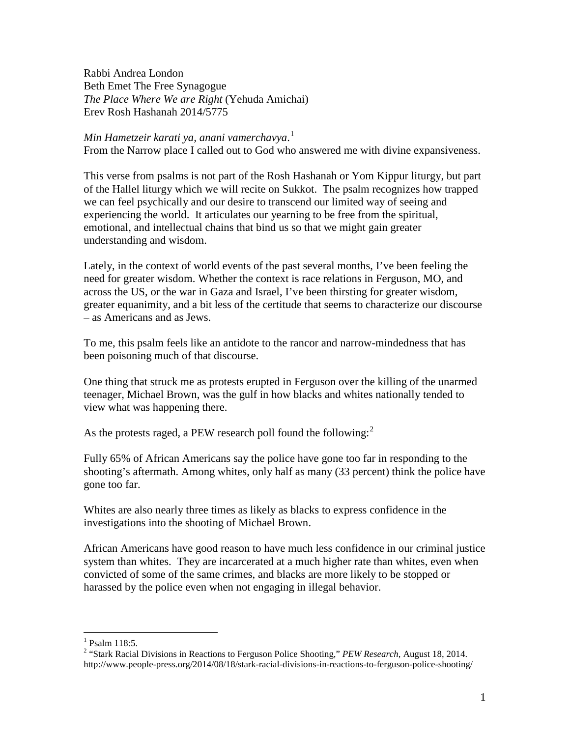Rabbi Andrea London Beth Emet The Free Synagogue *The Place Where We are Right* (Yehuda Amichai) Erev Rosh Hashanah 2014/5775

*Min Hametzeir karati ya, anani vamerchavya*. [1](#page-0-0)

From the Narrow place I called out to God who answered me with divine expansiveness.

This verse from psalms is not part of the Rosh Hashanah or Yom Kippur liturgy, but part of the Hallel liturgy which we will recite on Sukkot. The psalm recognizes how trapped we can feel psychically and our desire to transcend our limited way of seeing and experiencing the world. It articulates our yearning to be free from the spiritual, emotional, and intellectual chains that bind us so that we might gain greater understanding and wisdom.

Lately, in the context of world events of the past several months, I've been feeling the need for greater wisdom. Whether the context is race relations in Ferguson, MO, and across the US, or the war in Gaza and Israel, I've been thirsting for greater wisdom, greater equanimity, and a bit less of the certitude that seems to characterize our discourse – as Americans and as Jews.

To me, this psalm feels like an antidote to the rancor and narrow-mindedness that has been poisoning much of that discourse.

One thing that struck me as protests erupted in Ferguson over the killing of the unarmed teenager, Michael Brown, was the gulf in how blacks and whites nationally tended to view what was happening there.

As the protests raged, a PEW research poll found the following:<sup>[2](#page-0-1)</sup>

Fully 65% of African Americans say the police have gone too far in responding to the shooting's aftermath. Among whites, only half as many (33 percent) think the police have gone too far.

Whites are also nearly three times as likely as blacks to express confidence in the investigations into the shooting of Michael Brown.

African Americans have good reason to have much less confidence in our criminal justice system than whites. They are incarcerated at a much higher rate than whites, even when convicted of some of the same crimes, and blacks are more likely to be stopped or harassed by the police even when not engaging in illegal behavior.

<span id="page-0-0"></span> $1$  Psalm 118:5.

<span id="page-0-1"></span><sup>2</sup> "Stark Racial Divisions in Reactions to Ferguson Police Shooting," *PEW Research*, August 18, 2014. http://www.people-press.org/2014/08/18/stark-racial-divisions-in-reactions-to-ferguson-police-shooting/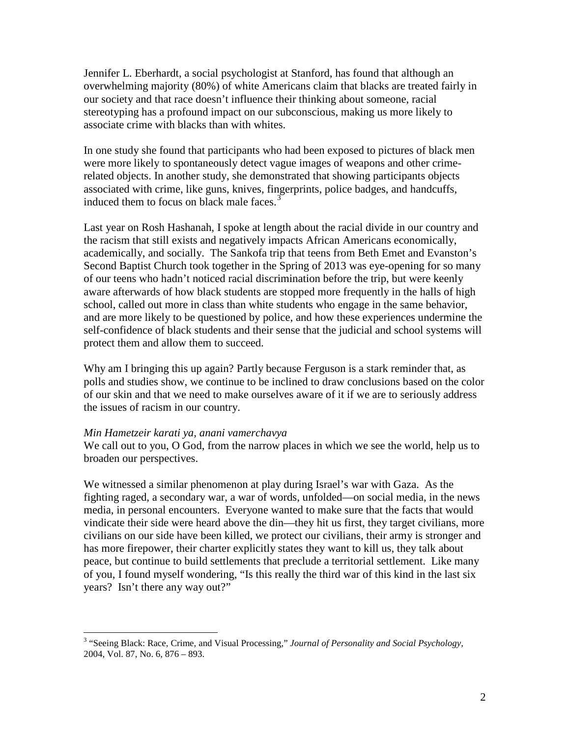Jennifer L. Eberhardt, a social psychologist at Stanford, has found that although an overwhelming majority (80%) of white Americans claim that blacks are treated fairly in our society and that race doesn't influence their thinking about someone, racial stereotyping has a profound impact on our subconscious, making us more likely to associate crime with blacks than with whites.

In one study she found that participants who had been exposed to pictures of black men were more likely to spontaneously detect vague images of weapons and other crimerelated objects. In another study, she demonstrated that showing participants objects associated with crime, like guns, knives, fingerprints, police badges, and handcuffs, induced them to focus on black male faces. $3$ 

Last year on Rosh Hashanah, I spoke at length about the racial divide in our country and the racism that still exists and negatively impacts African Americans economically, academically, and socially. The Sankofa trip that teens from Beth Emet and Evanston's Second Baptist Church took together in the Spring of 2013 was eye-opening for so many of our teens who hadn't noticed racial discrimination before the trip, but were keenly aware afterwards of how black students are stopped more frequently in the halls of high school, called out more in class than white students who engage in the same behavior, and are more likely to be questioned by police, and how these experiences undermine the self-confidence of black students and their sense that the judicial and school systems will protect them and allow them to succeed.

Why am I bringing this up again? Partly because Ferguson is a stark reminder that, as polls and studies show, we continue to be inclined to draw conclusions based on the color of our skin and that we need to make ourselves aware of it if we are to seriously address the issues of racism in our country.

## *Min Hametzeir karati ya, anani vamerchavya*

We call out to you, O God, from the narrow places in which we see the world, help us to broaden our perspectives.

We witnessed a similar phenomenon at play during Israel's war with Gaza. As the fighting raged, a secondary war, a war of words, unfolded—on social media, in the news media, in personal encounters. Everyone wanted to make sure that the facts that would vindicate their side were heard above the din—they hit us first, they target civilians, more civilians on our side have been killed, we protect our civilians, their army is stronger and has more firepower, their charter explicitly states they want to kill us, they talk about peace, but continue to build settlements that preclude a territorial settlement. Like many of you, I found myself wondering, "Is this really the third war of this kind in the last six years? Isn't there any way out?"

<span id="page-1-0"></span> <sup>3</sup> "Seeing Black: Race, Crime, and Visual Processing," *Journal of Personality and Social Psychology,*  2004, Vol. 87, No. 6, 876 – 893.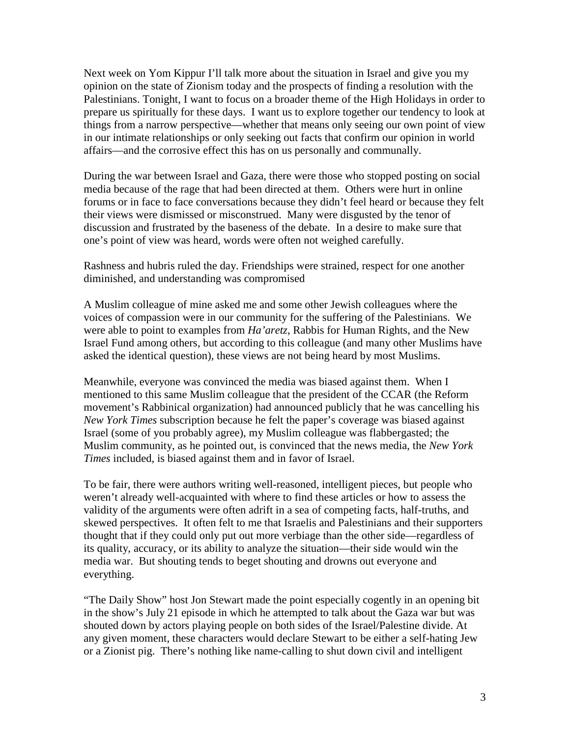Next week on Yom Kippur I'll talk more about the situation in Israel and give you my opinion on the state of Zionism today and the prospects of finding a resolution with the Palestinians. Tonight, I want to focus on a broader theme of the High Holidays in order to prepare us spiritually for these days. I want us to explore together our tendency to look at things from a narrow perspective—whether that means only seeing our own point of view in our intimate relationships or only seeking out facts that confirm our opinion in world affairs—and the corrosive effect this has on us personally and communally.

During the war between Israel and Gaza, there were those who stopped posting on social media because of the rage that had been directed at them. Others were hurt in online forums or in face to face conversations because they didn't feel heard or because they felt their views were dismissed or misconstrued. Many were disgusted by the tenor of discussion and frustrated by the baseness of the debate. In a desire to make sure that one's point of view was heard, words were often not weighed carefully.

Rashness and hubris ruled the day. Friendships were strained, respect for one another diminished, and understanding was compromised

A Muslim colleague of mine asked me and some other Jewish colleagues where the voices of compassion were in our community for the suffering of the Palestinians. We were able to point to examples from *Ha'aretz*, Rabbis for Human Rights, and the New Israel Fund among others, but according to this colleague (and many other Muslims have asked the identical question), these views are not being heard by most Muslims.

Meanwhile, everyone was convinced the media was biased against them. When I mentioned to this same Muslim colleague that the president of the CCAR (the Reform movement's Rabbinical organization) had announced publicly that he was cancelling his *New York Times* subscription because he felt the paper's coverage was biased against Israel (some of you probably agree), my Muslim colleague was flabbergasted; the Muslim community, as he pointed out, is convinced that the news media, the *New York Times* included, is biased against them and in favor of Israel.

To be fair, there were authors writing well-reasoned, intelligent pieces, but people who weren't already well-acquainted with where to find these articles or how to assess the validity of the arguments were often adrift in a sea of competing facts, half-truths, and skewed perspectives. It often felt to me that Israelis and Palestinians and their supporters thought that if they could only put out more verbiage than the other side—regardless of its quality, accuracy, or its ability to analyze the situation—their side would win the media war. But shouting tends to beget shouting and drowns out everyone and everything.

"The Daily Show" host Jon Stewart made the point especially cogently in an opening bit in the show's July 21 episode in which he attempted to talk about the Gaza war but was shouted down by actors playing people on both sides of the Israel/Palestine divide. At any given moment, these characters would declare Stewart to be either a self-hating Jew or a Zionist pig. There's nothing like name-calling to shut down civil and intelligent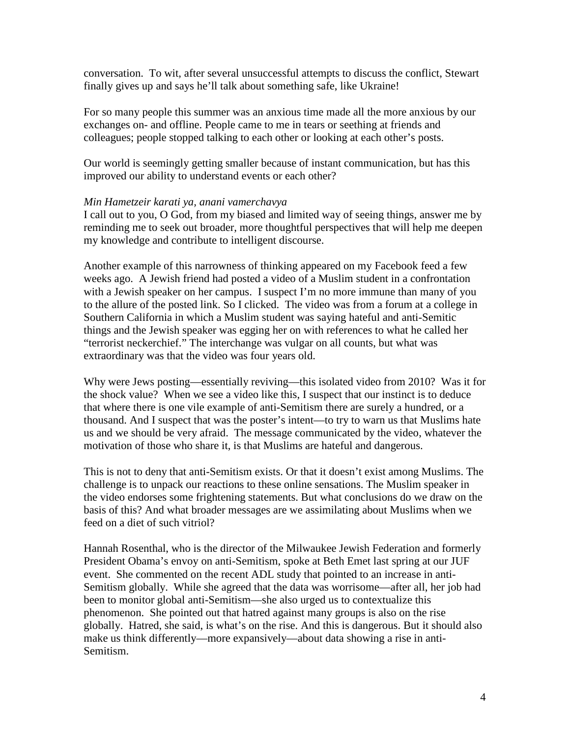conversation. To wit, after several unsuccessful attempts to discuss the conflict, Stewart finally gives up and says he'll talk about something safe, like Ukraine!

For so many people this summer was an anxious time made all the more anxious by our exchanges on- and offline. People came to me in tears or seething at friends and colleagues; people stopped talking to each other or looking at each other's posts.

Our world is seemingly getting smaller because of instant communication, but has this improved our ability to understand events or each other?

# *Min Hametzeir karati ya, anani vamerchavya*

I call out to you, O God, from my biased and limited way of seeing things, answer me by reminding me to seek out broader, more thoughtful perspectives that will help me deepen my knowledge and contribute to intelligent discourse.

Another example of this narrowness of thinking appeared on my Facebook feed a few weeks ago. A Jewish friend had posted a video of a Muslim student in a confrontation with a Jewish speaker on her campus. I suspect I'm no more immune than many of you to the allure of the posted link. So I clicked. The video was from a forum at a college in Southern California in which a Muslim student was saying hateful and anti-Semitic things and the Jewish speaker was egging her on with references to what he called her "terrorist neckerchief." The interchange was vulgar on all counts, but what was extraordinary was that the video was four years old.

Why were Jews posting—essentially reviving—this isolated video from 2010? Was it for the shock value? When we see a video like this, I suspect that our instinct is to deduce that where there is one vile example of anti-Semitism there are surely a hundred, or a thousand. And I suspect that was the poster's intent—to try to warn us that Muslims hate us and we should be very afraid. The message communicated by the video, whatever the motivation of those who share it, is that Muslims are hateful and dangerous.

This is not to deny that anti-Semitism exists. Or that it doesn't exist among Muslims. The challenge is to unpack our reactions to these online sensations. The Muslim speaker in the video endorses some frightening statements. But what conclusions do we draw on the basis of this? And what broader messages are we assimilating about Muslims when we feed on a diet of such vitriol?

Hannah Rosenthal, who is the director of the Milwaukee Jewish Federation and formerly President Obama's envoy on anti-Semitism, spoke at Beth Emet last spring at our JUF event. She commented on the recent ADL study that pointed to an increase in anti-Semitism globally. While she agreed that the data was worrisome—after all, her job had been to monitor global anti-Semitism—she also urged us to contextualize this phenomenon. She pointed out that hatred against many groups is also on the rise globally. Hatred, she said, is what's on the rise. And this is dangerous. But it should also make us think differently—more expansively—about data showing a rise in anti-Semitism.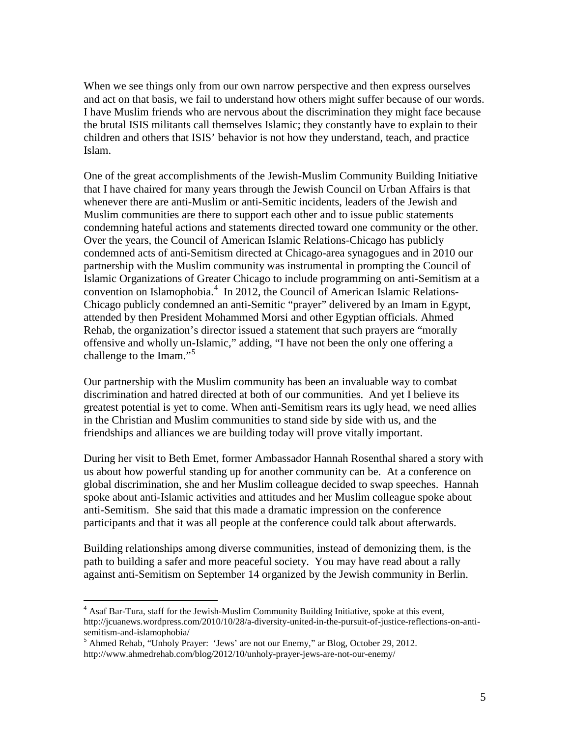When we see things only from our own narrow perspective and then express ourselves and act on that basis, we fail to understand how others might suffer because of our words. I have Muslim friends who are nervous about the discrimination they might face because the brutal ISIS militants call themselves Islamic; they constantly have to explain to their children and others that ISIS' behavior is not how they understand, teach, and practice Islam.

One of the great accomplishments of the Jewish-Muslim Community Building Initiative that I have chaired for many years through the Jewish Council on Urban Affairs is that whenever there are anti-Muslim or anti-Semitic incidents, leaders of the Jewish and Muslim communities are there to support each other and to issue public statements condemning hateful actions and statements directed toward one community or the other. Over the years, the Council of American Islamic Relations-Chicago has publicly condemned acts of anti-Semitism directed at Chicago-area synagogues and in 2010 our partnership with the Muslim community was instrumental in prompting the Council of Islamic Organizations of Greater Chicago to include programming on anti-Semitism at a convention on Islamophobia.<sup>[4](#page-4-0)</sup> In 2012, the Council of American Islamic Relations-Chicago publicly condemned an anti-Semitic "prayer" delivered by an Imam in Egypt, attended by then President Mohammed Morsi and other Egyptian officials. Ahmed Rehab, the organization's director issued a statement that such prayers are "morally offensive and wholly un-Islamic," adding, "I have not been the only one offering a challenge to the Imam."<sup>[5](#page-4-1)</sup>

Our partnership with the Muslim community has been an invaluable way to combat discrimination and hatred directed at both of our communities. And yet I believe its greatest potential is yet to come. When anti-Semitism rears its ugly head, we need allies in the Christian and Muslim communities to stand side by side with us, and the friendships and alliances we are building today will prove vitally important.

During her visit to Beth Emet, former Ambassador Hannah Rosenthal shared a story with us about how powerful standing up for another community can be. At a conference on global discrimination, she and her Muslim colleague decided to swap speeches. Hannah spoke about anti-Islamic activities and attitudes and her Muslim colleague spoke about anti-Semitism. She said that this made a dramatic impression on the conference participants and that it was all people at the conference could talk about afterwards.

Building relationships among diverse communities, instead of demonizing them, is the path to building a safer and more peaceful society. You may have read about a rally against anti-Semitism on September 14 organized by the Jewish community in Berlin.

<span id="page-4-0"></span> $<sup>4</sup>$  Asaf Bar-Tura, staff for the Jewish-Muslim Community Building Initiative, spoke at this event,</sup> http://jcuanews.wordpress.com/2010/10/28/a-diversity-united-in-the-pursuit-of-justice-reflections-on-anti-

<span id="page-4-1"></span><sup>&</sup>lt;sup>5</sup> Ahmed Rehab, "Unholy Prayer: 'Jews' are not our Enemy," ar Blog, October 29, 2012. http://www.ahmedrehab.com/blog/2012/10/unholy-prayer-jews-are-not-our-enemy/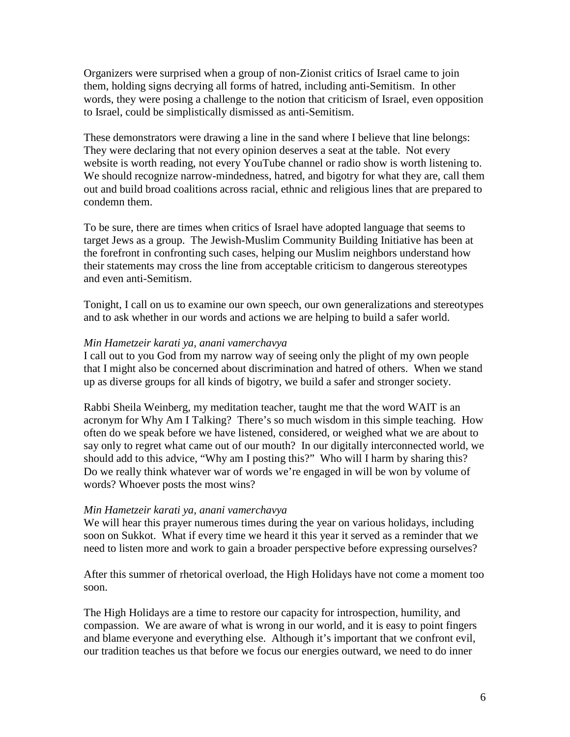Organizers were surprised when a group of non-Zionist critics of Israel came to join them, holding signs decrying all forms of hatred, including anti-Semitism. In other words, they were posing a challenge to the notion that criticism of Israel, even opposition to Israel, could be simplistically dismissed as anti-Semitism.

These demonstrators were drawing a line in the sand where I believe that line belongs: They were declaring that not every opinion deserves a seat at the table. Not every website is worth reading, not every YouTube channel or radio show is worth listening to. We should recognize narrow-mindedness, hatred, and bigotry for what they are, call them out and build broad coalitions across racial, ethnic and religious lines that are prepared to condemn them.

To be sure, there are times when critics of Israel have adopted language that seems to target Jews as a group. The Jewish-Muslim Community Building Initiative has been at the forefront in confronting such cases, helping our Muslim neighbors understand how their statements may cross the line from acceptable criticism to dangerous stereotypes and even anti-Semitism.

Tonight, I call on us to examine our own speech, our own generalizations and stereotypes and to ask whether in our words and actions we are helping to build a safer world.

# *Min Hametzeir karati ya, anani vamerchavya*

I call out to you God from my narrow way of seeing only the plight of my own people that I might also be concerned about discrimination and hatred of others. When we stand up as diverse groups for all kinds of bigotry, we build a safer and stronger society.

Rabbi Sheila Weinberg, my meditation teacher, taught me that the word WAIT is an acronym for Why Am I Talking? There's so much wisdom in this simple teaching. How often do we speak before we have listened, considered, or weighed what we are about to say only to regret what came out of our mouth? In our digitally interconnected world, we should add to this advice, "Why am I posting this?" Who will I harm by sharing this? Do we really think whatever war of words we're engaged in will be won by volume of words? Whoever posts the most wins?

# *Min Hametzeir karati ya, anani vamerchavya*

We will hear this prayer numerous times during the year on various holidays, including soon on Sukkot. What if every time we heard it this year it served as a reminder that we need to listen more and work to gain a broader perspective before expressing ourselves?

After this summer of rhetorical overload, the High Holidays have not come a moment too soon.

The High Holidays are a time to restore our capacity for introspection, humility, and compassion. We are aware of what is wrong in our world, and it is easy to point fingers and blame everyone and everything else. Although it's important that we confront evil, our tradition teaches us that before we focus our energies outward, we need to do inner